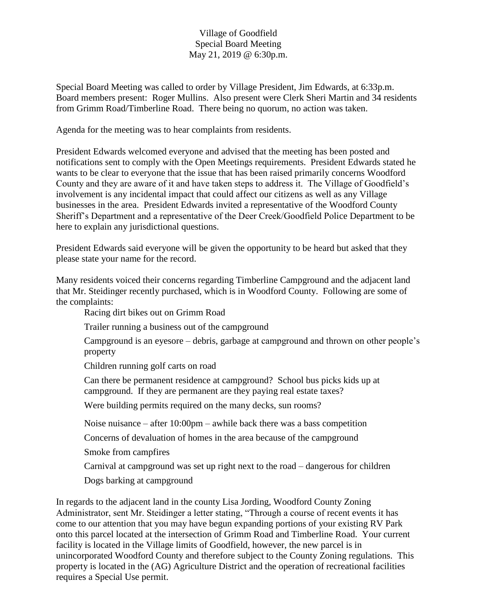## Village of Goodfield Special Board Meeting May 21, 2019 @ 6:30p.m.

Special Board Meeting was called to order by Village President, Jim Edwards, at 6:33p.m. Board members present: Roger Mullins. Also present were Clerk Sheri Martin and 34 residents from Grimm Road/Timberline Road. There being no quorum, no action was taken.

Agenda for the meeting was to hear complaints from residents.

President Edwards welcomed everyone and advised that the meeting has been posted and notifications sent to comply with the Open Meetings requirements. President Edwards stated he wants to be clear to everyone that the issue that has been raised primarily concerns Woodford County and they are aware of it and have taken steps to address it. The Village of Goodfield's involvement is any incidental impact that could affect our citizens as well as any Village businesses in the area. President Edwards invited a representative of the Woodford County Sheriff's Department and a representative of the Deer Creek/Goodfield Police Department to be here to explain any jurisdictional questions.

President Edwards said everyone will be given the opportunity to be heard but asked that they please state your name for the record.

Many residents voiced their concerns regarding Timberline Campground and the adjacent land that Mr. Steidinger recently purchased, which is in Woodford County. Following are some of the complaints:

Racing dirt bikes out on Grimm Road

Trailer running a business out of the campground

Campground is an eyesore – debris, garbage at campground and thrown on other people's property

Children running golf carts on road

Can there be permanent residence at campground? School bus picks kids up at campground. If they are permanent are they paying real estate taxes?

Were building permits required on the many decks, sun rooms?

Noise nuisance – after 10:00pm – awhile back there was a bass competition

Concerns of devaluation of homes in the area because of the campground

Smoke from campfires

Carnival at campground was set up right next to the road – dangerous for children

Dogs barking at campground

In regards to the adjacent land in the county Lisa Jording, Woodford County Zoning Administrator, sent Mr. Steidinger a letter stating, "Through a course of recent events it has come to our attention that you may have begun expanding portions of your existing RV Park onto this parcel located at the intersection of Grimm Road and Timberline Road. Your current facility is located in the Village limits of Goodfield, however, the new parcel is in unincorporated Woodford County and therefore subject to the County Zoning regulations. This property is located in the (AG) Agriculture District and the operation of recreational facilities requires a Special Use permit.